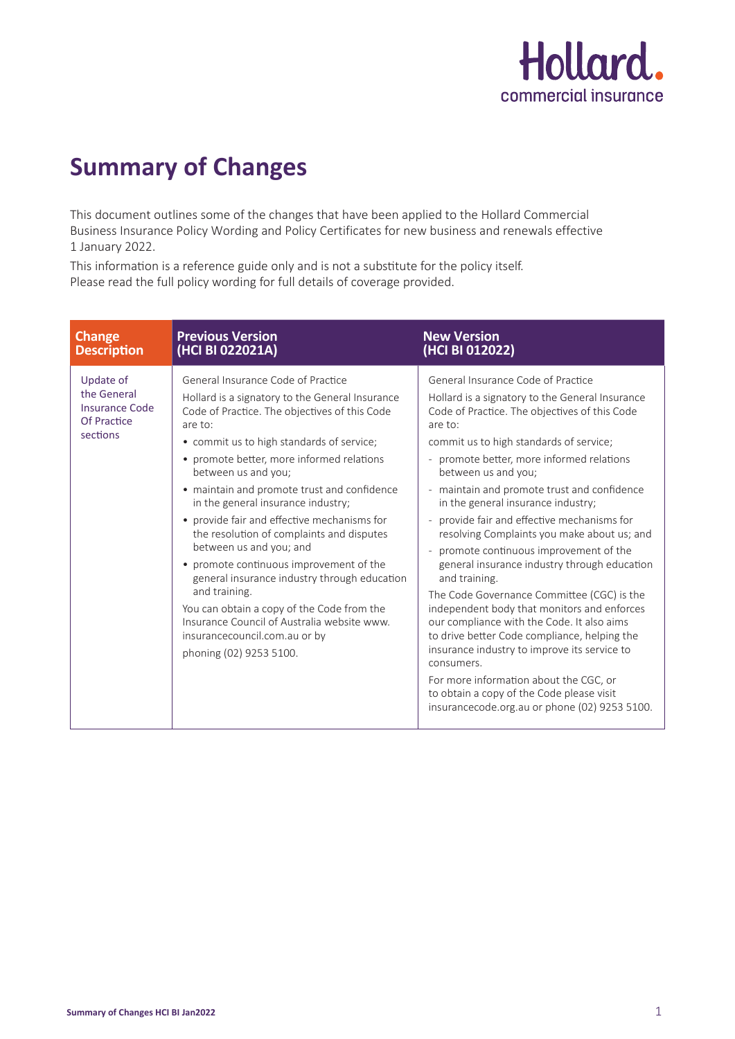

## **Summary of Changes**

This document outlines some of the changes that have been applied to the Hollard Commercial Business Insurance Policy Wording and Policy Certificates for new business and renewals effective 1 January 2022.

This information is a reference guide only and is not a substitute for the policy itself. Please read the full policy wording for full details of coverage provided.

| <b>Change</b>                                                                | <b>Previous Version</b>                                                                                                                                                                                                                                                                                                                                                                                                                                                                                                                                                                                                                                                                                                                             | <b>New Version</b>                                                                                                                                                                                                                                                                                                                                                                                                                                                                                                                                                                                                                                                                                                                                                                                                                                                                                                                                                                       |
|------------------------------------------------------------------------------|-----------------------------------------------------------------------------------------------------------------------------------------------------------------------------------------------------------------------------------------------------------------------------------------------------------------------------------------------------------------------------------------------------------------------------------------------------------------------------------------------------------------------------------------------------------------------------------------------------------------------------------------------------------------------------------------------------------------------------------------------------|------------------------------------------------------------------------------------------------------------------------------------------------------------------------------------------------------------------------------------------------------------------------------------------------------------------------------------------------------------------------------------------------------------------------------------------------------------------------------------------------------------------------------------------------------------------------------------------------------------------------------------------------------------------------------------------------------------------------------------------------------------------------------------------------------------------------------------------------------------------------------------------------------------------------------------------------------------------------------------------|
| <b>Description</b>                                                           | (HCI BI 022021A)                                                                                                                                                                                                                                                                                                                                                                                                                                                                                                                                                                                                                                                                                                                                    | (HCI BI 012022)                                                                                                                                                                                                                                                                                                                                                                                                                                                                                                                                                                                                                                                                                                                                                                                                                                                                                                                                                                          |
| Update of<br>the General<br><b>Insurance Code</b><br>Of Practice<br>sections | General Insurance Code of Practice<br>Hollard is a signatory to the General Insurance<br>Code of Practice. The objectives of this Code<br>are to:<br>• commit us to high standards of service;<br>• promote better, more informed relations<br>between us and you;<br>• maintain and promote trust and confidence<br>in the general insurance industry;<br>• provide fair and effective mechanisms for<br>the resolution of complaints and disputes<br>between us and you; and<br>• promote continuous improvement of the<br>general insurance industry through education<br>and training.<br>You can obtain a copy of the Code from the<br>Insurance Council of Australia website www.<br>insurancecouncil.com.au or by<br>phoning (02) 9253 5100. | General Insurance Code of Practice<br>Hollard is a signatory to the General Insurance<br>Code of Practice. The objectives of this Code<br>are to:<br>commit us to high standards of service;<br>- promote better, more informed relations<br>between us and you;<br>- maintain and promote trust and confidence<br>in the general insurance industry;<br>provide fair and effective mechanisms for<br>resolving Complaints you make about us; and<br>promote continuous improvement of the<br>$\overline{\phantom{a}}$<br>general insurance industry through education<br>and training.<br>The Code Governance Committee (CGC) is the<br>independent body that monitors and enforces<br>our compliance with the Code. It also aims<br>to drive better Code compliance, helping the<br>insurance industry to improve its service to<br>consumers.<br>For more information about the CGC, or<br>to obtain a copy of the Code please visit<br>insurancecode.org.au or phone (02) 9253 5100. |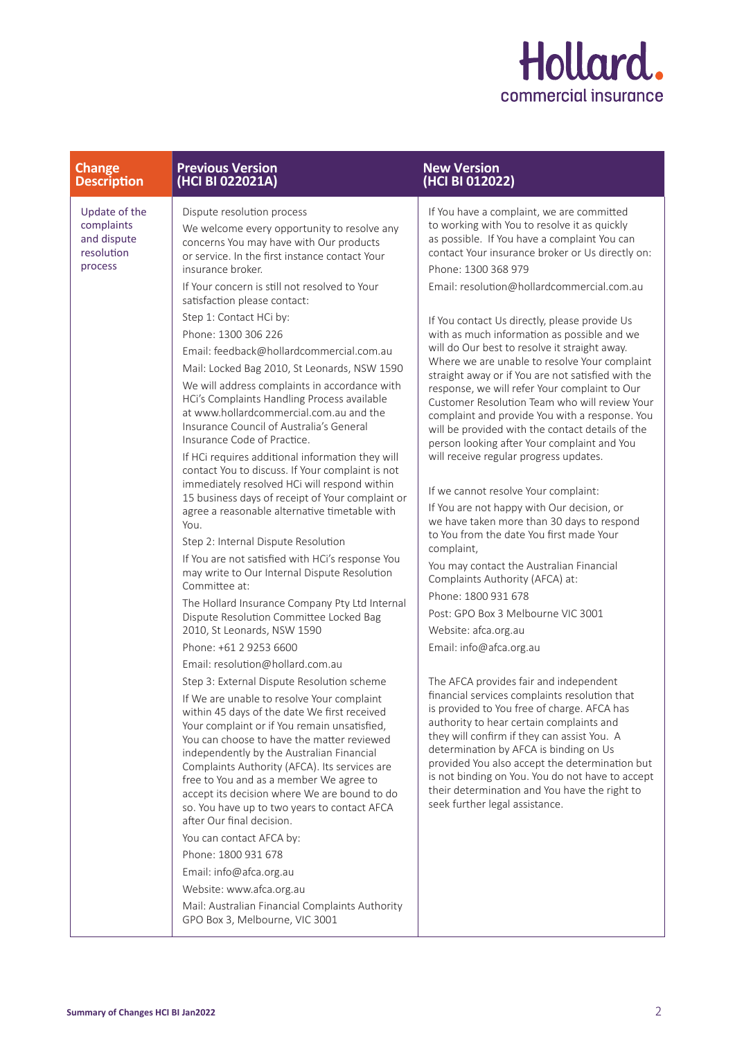

| <b>Change</b>                                                       | <b>Previous Version</b>                                                                                                                                                                                                                                                                                                                                                                                                                                                                                                                                                                                                                                                                                                                                                                                                                                                                                                                                                                                                                                                                                                                                                                                                                                                                                                                                                                                                                                                                                                                                                                                                                                                                                                                                                                                                                                                                                                                                                                    | <b>New Version</b>                                                                                                                                                                                                                                                                                                                                                                                                                                                                                                                                                                                                                                                                                                                                                                                                                                                                                                                                                                                                                                                                                                                                                                                                                                                                                                                                                                                                                                                                                                                                                                                                                                                                               |
|---------------------------------------------------------------------|--------------------------------------------------------------------------------------------------------------------------------------------------------------------------------------------------------------------------------------------------------------------------------------------------------------------------------------------------------------------------------------------------------------------------------------------------------------------------------------------------------------------------------------------------------------------------------------------------------------------------------------------------------------------------------------------------------------------------------------------------------------------------------------------------------------------------------------------------------------------------------------------------------------------------------------------------------------------------------------------------------------------------------------------------------------------------------------------------------------------------------------------------------------------------------------------------------------------------------------------------------------------------------------------------------------------------------------------------------------------------------------------------------------------------------------------------------------------------------------------------------------------------------------------------------------------------------------------------------------------------------------------------------------------------------------------------------------------------------------------------------------------------------------------------------------------------------------------------------------------------------------------------------------------------------------------------------------------------------------------|--------------------------------------------------------------------------------------------------------------------------------------------------------------------------------------------------------------------------------------------------------------------------------------------------------------------------------------------------------------------------------------------------------------------------------------------------------------------------------------------------------------------------------------------------------------------------------------------------------------------------------------------------------------------------------------------------------------------------------------------------------------------------------------------------------------------------------------------------------------------------------------------------------------------------------------------------------------------------------------------------------------------------------------------------------------------------------------------------------------------------------------------------------------------------------------------------------------------------------------------------------------------------------------------------------------------------------------------------------------------------------------------------------------------------------------------------------------------------------------------------------------------------------------------------------------------------------------------------------------------------------------------------------------------------------------------------|
| <b>Description</b>                                                  | (HCI BI 022021A)                                                                                                                                                                                                                                                                                                                                                                                                                                                                                                                                                                                                                                                                                                                                                                                                                                                                                                                                                                                                                                                                                                                                                                                                                                                                                                                                                                                                                                                                                                                                                                                                                                                                                                                                                                                                                                                                                                                                                                           | (HCI BI 012022)                                                                                                                                                                                                                                                                                                                                                                                                                                                                                                                                                                                                                                                                                                                                                                                                                                                                                                                                                                                                                                                                                                                                                                                                                                                                                                                                                                                                                                                                                                                                                                                                                                                                                  |
| Update of the<br>complaints<br>and dispute<br>resolution<br>process | Dispute resolution process<br>We welcome every opportunity to resolve any<br>concerns You may have with Our products<br>or service. In the first instance contact Your<br>insurance broker.<br>If Your concern is still not resolved to Your<br>satisfaction please contact:<br>Step 1: Contact HCi by:<br>Phone: 1300 306 226<br>Email: feedback@hollardcommercial.com.au<br>Mail: Locked Bag 2010, St Leonards, NSW 1590<br>We will address complaints in accordance with<br>HCi's Complaints Handling Process available<br>at www.hollardcommercial.com.au and the<br>Insurance Council of Australia's General<br>Insurance Code of Practice.<br>If HCi requires additional information they will<br>contact You to discuss. If Your complaint is not<br>immediately resolved HCi will respond within<br>15 business days of receipt of Your complaint or<br>agree a reasonable alternative timetable with<br>You.<br>Step 2: Internal Dispute Resolution<br>If You are not satisfied with HCi's response You<br>may write to Our Internal Dispute Resolution<br>Committee at:<br>The Hollard Insurance Company Pty Ltd Internal<br>Dispute Resolution Committee Locked Bag<br>2010, St Leonards, NSW 1590<br>Phone: +61 2 9253 6600<br>Email: resolution@hollard.com.au<br>Step 3: External Dispute Resolution scheme<br>If We are unable to resolve Your complaint<br>within 45 days of the date We first received<br>Your complaint or if You remain unsatisfied,<br>You can choose to have the matter reviewed<br>independently by the Australian Financial<br>Complaints Authority (AFCA). Its services are<br>free to You and as a member We agree to<br>accept its decision where We are bound to do<br>so. You have up to two years to contact AFCA<br>after Our final decision.<br>You can contact AFCA by:<br>Phone: 1800 931 678<br>Email: info@afca.org.au<br>Website: www.afca.org.au<br>Mail: Australian Financial Complaints Authority<br>GPO Box 3, Melbourne, VIC 3001 | If You have a complaint, we are committed<br>to working with You to resolve it as quickly<br>as possible. If You have a complaint You can<br>contact Your insurance broker or Us directly on:<br>Phone: 1300 368 979<br>Email: resolution@hollardcommercial.com.au<br>If You contact Us directly, please provide Us<br>with as much information as possible and we<br>will do Our best to resolve it straight away.<br>Where we are unable to resolve Your complaint<br>straight away or if You are not satisfied with the<br>response, we will refer Your complaint to Our<br>Customer Resolution Team who will review Your<br>complaint and provide You with a response. You<br>will be provided with the contact details of the<br>person looking after Your complaint and You<br>will receive regular progress updates.<br>If we cannot resolve Your complaint:<br>If You are not happy with Our decision, or<br>we have taken more than 30 days to respond<br>to You from the date You first made Your<br>complaint,<br>You may contact the Australian Financial<br>Complaints Authority (AFCA) at:<br>Phone: 1800 931 678<br>Post: GPO Box 3 Melbourne VIC 3001<br>Website: afca.org.au<br>Email: info@afca.org.au<br>The AFCA provides fair and independent<br>financial services complaints resolution that<br>is provided to You free of charge. AFCA has<br>authority to hear certain complaints and<br>they will confirm if they can assist You. A<br>determination by AFCA is binding on Us<br>provided You also accept the determination but<br>is not binding on You. You do not have to accept<br>their determination and You have the right to<br>seek further legal assistance. |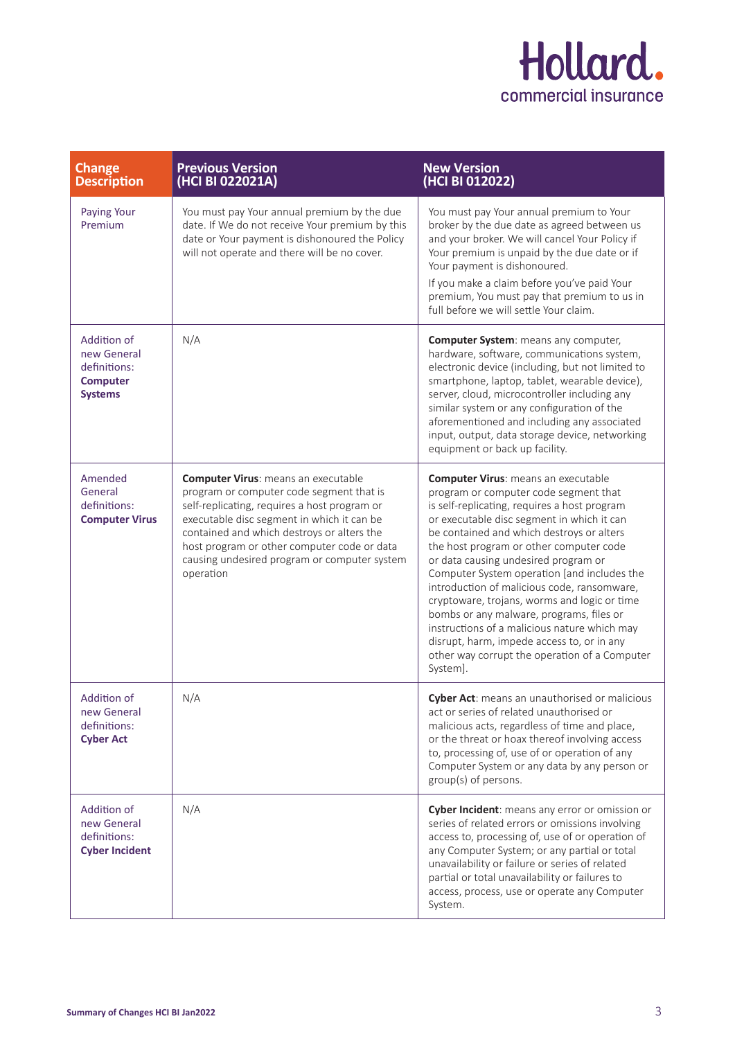

| <b>Change</b><br><b>Description</b>                                             | <b>Previous Version</b><br>(HCI BI 022021A)                                                                                                                                                                                                                                                                                                    | <b>New Version</b><br>(HCI BI 012022)                                                                                                                                                                                                                                                                                                                                                                                                                                                                                                                                                                                                                                  |
|---------------------------------------------------------------------------------|------------------------------------------------------------------------------------------------------------------------------------------------------------------------------------------------------------------------------------------------------------------------------------------------------------------------------------------------|------------------------------------------------------------------------------------------------------------------------------------------------------------------------------------------------------------------------------------------------------------------------------------------------------------------------------------------------------------------------------------------------------------------------------------------------------------------------------------------------------------------------------------------------------------------------------------------------------------------------------------------------------------------------|
| Paying Your<br>Premium                                                          | You must pay Your annual premium by the due<br>date. If We do not receive Your premium by this<br>date or Your payment is dishonoured the Policy<br>will not operate and there will be no cover.                                                                                                                                               | You must pay Your annual premium to Your<br>broker by the due date as agreed between us<br>and your broker. We will cancel Your Policy if<br>Your premium is unpaid by the due date or if<br>Your payment is dishonoured.<br>If you make a claim before you've paid Your<br>premium, You must pay that premium to us in<br>full before we will settle Your claim.                                                                                                                                                                                                                                                                                                      |
| Addition of<br>new General<br>definitions:<br><b>Computer</b><br><b>Systems</b> | N/A                                                                                                                                                                                                                                                                                                                                            | Computer System: means any computer,<br>hardware, software, communications system,<br>electronic device (including, but not limited to<br>smartphone, laptop, tablet, wearable device),<br>server, cloud, microcontroller including any<br>similar system or any configuration of the<br>aforementioned and including any associated<br>input, output, data storage device, networking<br>equipment or back up facility.                                                                                                                                                                                                                                               |
| Amended<br>General<br>definitions:<br><b>Computer Virus</b>                     | <b>Computer Virus: means an executable</b><br>program or computer code segment that is<br>self-replicating, requires a host program or<br>executable disc segment in which it can be<br>contained and which destroys or alters the<br>host program or other computer code or data<br>causing undesired program or computer system<br>operation | <b>Computer Virus: means an executable</b><br>program or computer code segment that<br>is self-replicating, requires a host program<br>or executable disc segment in which it can<br>be contained and which destroys or alters<br>the host program or other computer code<br>or data causing undesired program or<br>Computer System operation [and includes the<br>introduction of malicious code, ransomware,<br>cryptoware, trojans, worms and logic or time<br>bombs or any malware, programs, files or<br>instructions of a malicious nature which may<br>disrupt, harm, impede access to, or in any<br>other way corrupt the operation of a Computer<br>System]. |
| Addition of<br>new General<br>definitions:<br><b>Cyber Act</b>                  | N/A                                                                                                                                                                                                                                                                                                                                            | Cyber Act: means an unauthorised or malicious<br>act or series of related unauthorised or<br>malicious acts, regardless of time and place,<br>or the threat or hoax thereof involving access<br>to, processing of, use of or operation of any<br>Computer System or any data by any person or<br>group(s) of persons.                                                                                                                                                                                                                                                                                                                                                  |
| Addition of<br>new General<br>definitions:<br><b>Cyber Incident</b>             | N/A                                                                                                                                                                                                                                                                                                                                            | Cyber Incident: means any error or omission or<br>series of related errors or omissions involving<br>access to, processing of, use of or operation of<br>any Computer System; or any partial or total<br>unavailability or failure or series of related<br>partial or total unavailability or failures to<br>access, process, use or operate any Computer<br>System.                                                                                                                                                                                                                                                                                                   |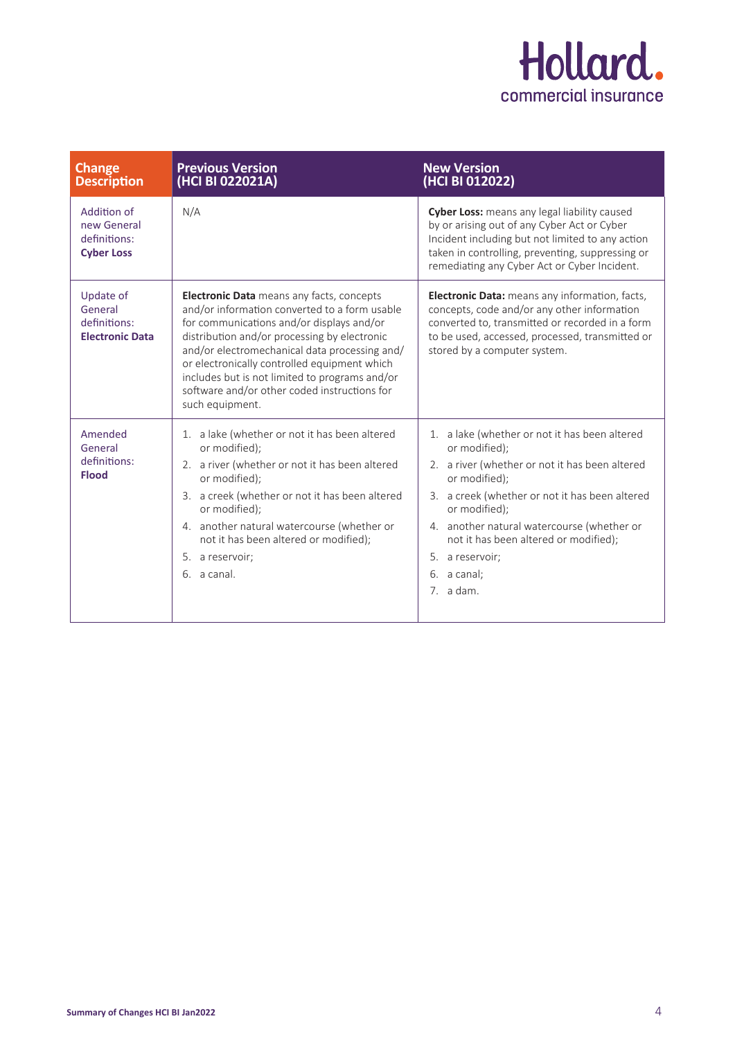

| Change<br><b>Description</b>                                    | <b>Previous Version</b><br>(HCI BI 022021A)                                                                                                                                                                                                                                                                                                                                                                          | <b>New Version</b><br>(HCI BI 012022)                                                                                                                                                                                                                                                                                                      |
|-----------------------------------------------------------------|----------------------------------------------------------------------------------------------------------------------------------------------------------------------------------------------------------------------------------------------------------------------------------------------------------------------------------------------------------------------------------------------------------------------|--------------------------------------------------------------------------------------------------------------------------------------------------------------------------------------------------------------------------------------------------------------------------------------------------------------------------------------------|
| Addition of<br>new General<br>definitions:<br><b>Cyber Loss</b> | N/A                                                                                                                                                                                                                                                                                                                                                                                                                  | Cyber Loss: means any legal liability caused<br>by or arising out of any Cyber Act or Cyber<br>Incident including but not limited to any action<br>taken in controlling, preventing, suppressing or<br>remediating any Cyber Act or Cyber Incident.                                                                                        |
| Update of<br>General<br>definitions:<br><b>Electronic Data</b>  | <b>Electronic Data</b> means any facts, concepts<br>and/or information converted to a form usable<br>for communications and/or displays and/or<br>distribution and/or processing by electronic<br>and/or electromechanical data processing and/<br>or electronically controlled equipment which<br>includes but is not limited to programs and/or<br>software and/or other coded instructions for<br>such equipment. | <b>Electronic Data:</b> means any information, facts,<br>concepts, code and/or any other information<br>converted to, transmitted or recorded in a form<br>to be used, accessed, processed, transmitted or<br>stored by a computer system.                                                                                                 |
| Amended<br>General<br>definitions:<br><b>Flood</b>              | 1. a lake (whether or not it has been altered<br>or modified);<br>2. a river (whether or not it has been altered<br>or modified);<br>3. a creek (whether or not it has been altered<br>or modified);<br>4. another natural watercourse (whether or<br>not it has been altered or modified);<br>5. a reservoir;<br>6. a canal.                                                                                        | 1. a lake (whether or not it has been altered<br>or modified);<br>2. a river (whether or not it has been altered<br>or modified);<br>3. a creek (whether or not it has been altered<br>or modified);<br>4. another natural watercourse (whether or<br>not it has been altered or modified);<br>5. a reservoir;<br>6. a canal:<br>7. a dam. |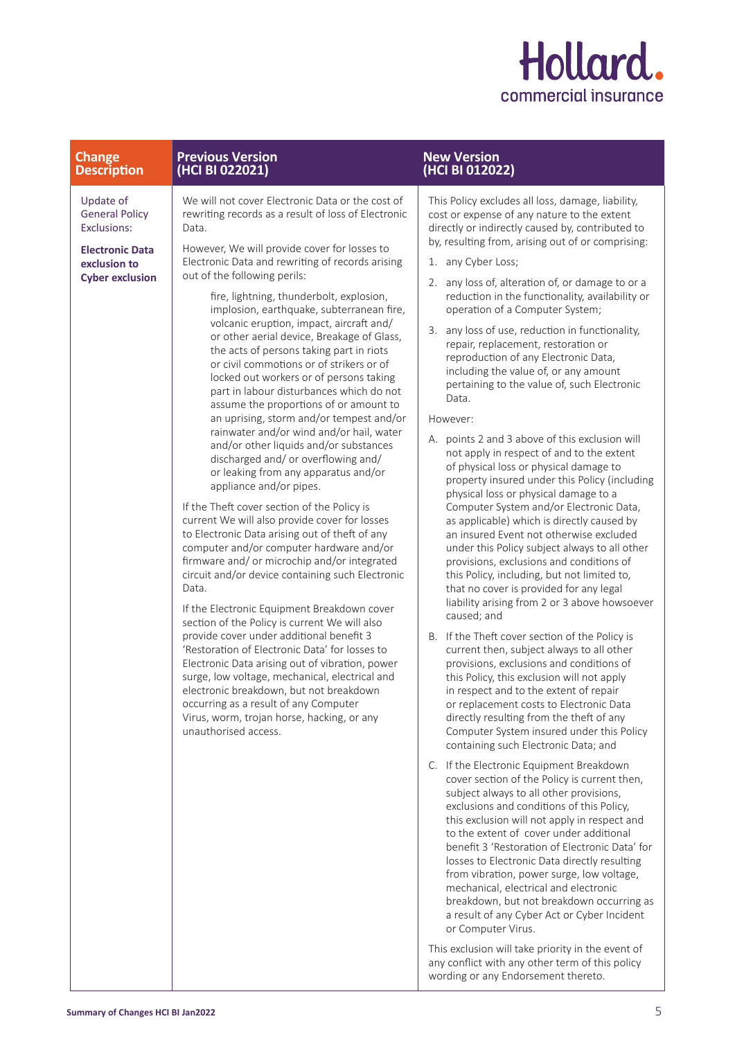

## **Change Description Previous Version (HCI BI 022021)**

Update of General Policy Exclusions:

**Electronic Data exclusion to Cyber exclusion**

We will not cover Electronic Data or the cost of rewriting records as a result of loss of Electronic Data.

However, We will provide cover for losses to Electronic Data and rewriting of records arising out of the following perils:

> fire, lightning, thunderbolt, explosion, implosion, earthquake, subterranean fire, volcanic eruption, impact, aircraft and/ or other aerial device, Breakage of Glass, the acts of persons taking part in riots or civil commotions or of strikers or of locked out workers or of persons taking part in labour disturbances which do not assume the proportions of or amount to an uprising, storm and/or tempest and/or rainwater and/or wind and/or hail, water and/or other liquids and/or substances discharged and/ or overflowing and/ or leaking from any apparatus and/or appliance and/or pipes.

If the Theft cover section of the Policy is current We will also provide cover for losses to Electronic Data arising out of theft of any computer and/or computer hardware and/or firmware and/ or microchip and/or integrated circuit and/or device containing such Electronic Data.

If the Electronic Equipment Breakdown cover section of the Policy is current We will also provide cover under additional benefit 3 'Restoration of Electronic Data' for losses to Electronic Data arising out of vibration, power surge, low voltage, mechanical, electrical and electronic breakdown, but not breakdown occurring as a result of any Computer Virus, worm, trojan horse, hacking, or any unauthorised access.

## **New Version (HCI BI 012022)**

This Policy excludes all loss, damage, liability, cost or expense of any nature to the extent directly or indirectly caused by, contributed to by, resulting from, arising out of or comprising:

- 1. any Cyber Loss;
- 2. any loss of, alteration of, or damage to or a reduction in the functionality, availability or operation of a Computer System;
- 3. any loss of use, reduction in functionality, repair, replacement, restoration or reproduction of any Electronic Data, including the value of, or any amount pertaining to the value of, such Electronic Data.

## However:

- A. points 2 and 3 above of this exclusion will not apply in respect of and to the extent of physical loss or physical damage to property insured under this Policy (including physical loss or physical damage to a Computer System and/or Electronic Data, as applicable) which is directly caused by an insured Event not otherwise excluded under this Policy subject always to all other provisions, exclusions and conditions of this Policy, including, but not limited to, that no cover is provided for any legal liability arising from 2 or 3 above howsoever caused; and
- B. If the Theft cover section of the Policy is current then, subject always to all other provisions, exclusions and conditions of this Policy, this exclusion will not apply in respect and to the extent of repair or replacement costs to Electronic Data directly resulting from the theft of any Computer System insured under this Policy containing such Electronic Data; and
- C. If the Electronic Equipment Breakdown cover section of the Policy is current then, subject always to all other provisions, exclusions and conditions of this Policy, this exclusion will not apply in respect and to the extent of cover under additional benefit 3 'Restoration of Electronic Data' for losses to Electronic Data directly resulting from vibration, power surge, low voltage, mechanical, electrical and electronic breakdown, but not breakdown occurring as a result of any Cyber Act or Cyber Incident or Computer Virus.

This exclusion will take priority in the event of any conflict with any other term of this policy wording or any Endorsement thereto.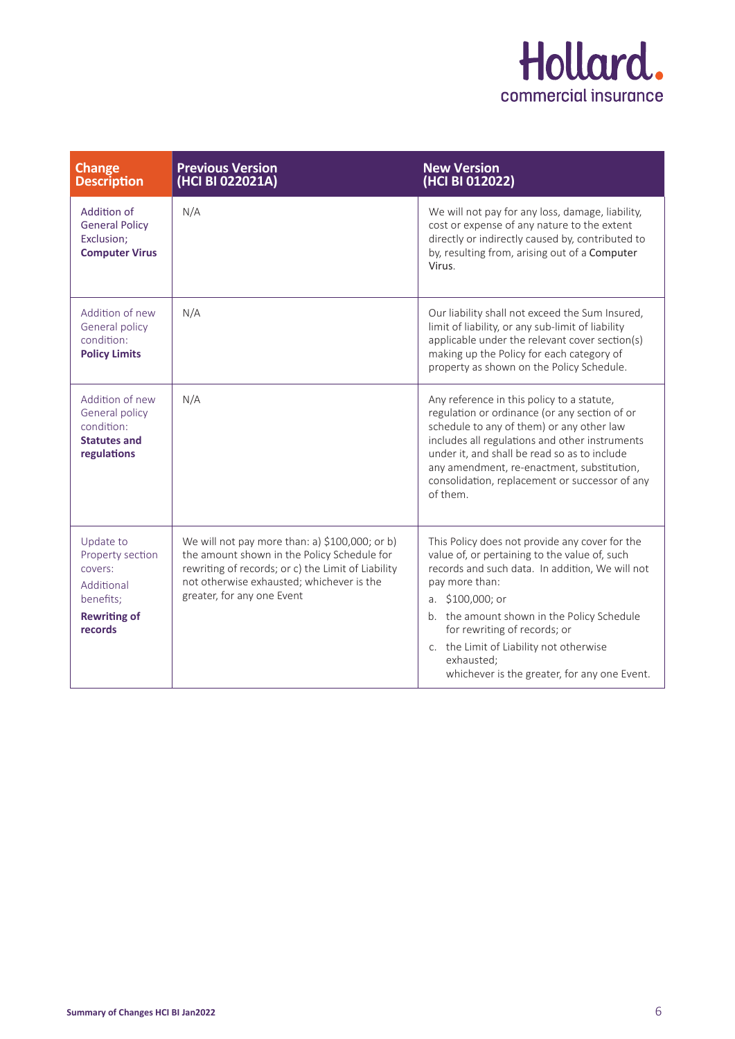

| <b>Change</b><br><b>Description</b>                                                                   | <b>Previous Version</b><br>(HCI BI 022021A)                                                                                                                                                                                    | <b>New Version</b><br>(HCI BI 012022)                                                                                                                                                                                                                                                                                                                                             |
|-------------------------------------------------------------------------------------------------------|--------------------------------------------------------------------------------------------------------------------------------------------------------------------------------------------------------------------------------|-----------------------------------------------------------------------------------------------------------------------------------------------------------------------------------------------------------------------------------------------------------------------------------------------------------------------------------------------------------------------------------|
| Addition of<br><b>General Policy</b><br>Exclusion:<br><b>Computer Virus</b>                           | N/A                                                                                                                                                                                                                            | We will not pay for any loss, damage, liability,<br>cost or expense of any nature to the extent<br>directly or indirectly caused by, contributed to<br>by, resulting from, arising out of a Computer<br>Virus.                                                                                                                                                                    |
| Addition of new<br>General policy<br>condition:<br><b>Policy Limits</b>                               | N/A                                                                                                                                                                                                                            | Our liability shall not exceed the Sum Insured,<br>limit of liability, or any sub-limit of liability<br>applicable under the relevant cover section(s)<br>making up the Policy for each category of<br>property as shown on the Policy Schedule.                                                                                                                                  |
| Addition of new<br>General policy<br>condition:<br><b>Statutes and</b><br>regulations                 | N/A                                                                                                                                                                                                                            | Any reference in this policy to a statute,<br>regulation or ordinance (or any section of or<br>schedule to any of them) or any other law<br>includes all regulations and other instruments<br>under it, and shall be read so as to include<br>any amendment, re-enactment, substitution,<br>consolidation, replacement or successor of any<br>of them.                            |
| Update to<br>Property section<br>covers:<br>Additional<br>benefits;<br><b>Rewriting of</b><br>records | We will not pay more than: a) \$100,000; or b)<br>the amount shown in the Policy Schedule for<br>rewriting of records; or c) the Limit of Liability<br>not otherwise exhausted; whichever is the<br>greater, for any one Event | This Policy does not provide any cover for the<br>value of, or pertaining to the value of, such<br>records and such data. In addition, We will not<br>pay more than:<br>a. $$100,000$ ; or<br>b. the amount shown in the Policy Schedule<br>for rewriting of records; or<br>c. the Limit of Liability not otherwise<br>exhausted;<br>whichever is the greater, for any one Event. |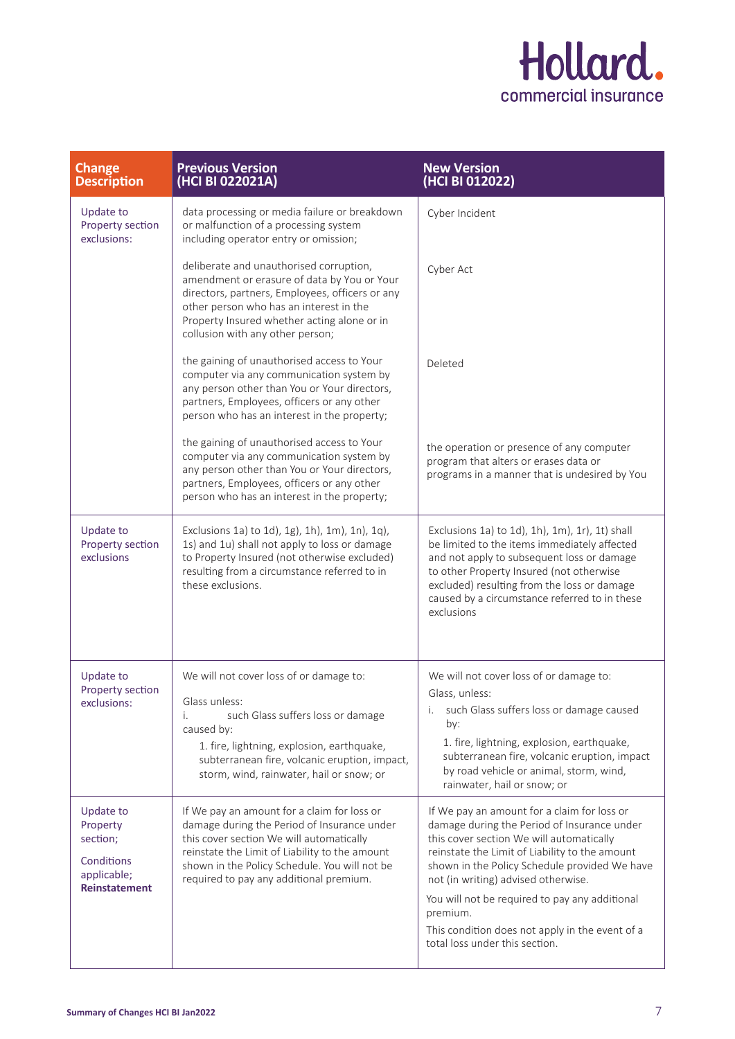

| <b>Change</b><br><b>Description</b>                                                           | <b>Previous Version</b><br>(HCI BI 022021A)                                                                                                                                                                                                                                          | <b>New Version</b><br>(HCI BI 012022)                                                                                                                                                                                                                                                                                                                                                                                               |
|-----------------------------------------------------------------------------------------------|--------------------------------------------------------------------------------------------------------------------------------------------------------------------------------------------------------------------------------------------------------------------------------------|-------------------------------------------------------------------------------------------------------------------------------------------------------------------------------------------------------------------------------------------------------------------------------------------------------------------------------------------------------------------------------------------------------------------------------------|
| <b>Update to</b><br>Property section<br>exclusions:                                           | data processing or media failure or breakdown<br>or malfunction of a processing system<br>including operator entry or omission;                                                                                                                                                      | Cyber Incident                                                                                                                                                                                                                                                                                                                                                                                                                      |
|                                                                                               | deliberate and unauthorised corruption,<br>amendment or erasure of data by You or Your<br>directors, partners, Employees, officers or any<br>other person who has an interest in the<br>Property Insured whether acting alone or in<br>collusion with any other person;              | Cyber Act                                                                                                                                                                                                                                                                                                                                                                                                                           |
|                                                                                               | the gaining of unauthorised access to Your<br>computer via any communication system by<br>any person other than You or Your directors,<br>partners, Employees, officers or any other<br>person who has an interest in the property;                                                  | Deleted                                                                                                                                                                                                                                                                                                                                                                                                                             |
|                                                                                               | the gaining of unauthorised access to Your<br>computer via any communication system by<br>any person other than You or Your directors,<br>partners, Employees, officers or any other<br>person who has an interest in the property;                                                  | the operation or presence of any computer<br>program that alters or erases data or<br>programs in a manner that is undesired by You                                                                                                                                                                                                                                                                                                 |
| <b>Update to</b><br>Property section<br>exclusions                                            | Exclusions 1a) to 1d), 1g), 1h), 1m), 1n), 1q),<br>1s) and 1u) shall not apply to loss or damage<br>to Property Insured (not otherwise excluded)<br>resulting from a circumstance referred to in<br>these exclusions.                                                                | Exclusions 1a) to 1d), 1h), 1m), 1r), 1t) shall<br>be limited to the items immediately affected<br>and not apply to subsequent loss or damage<br>to other Property Insured (not otherwise<br>excluded) resulting from the loss or damage<br>caused by a circumstance referred to in these<br>exclusions                                                                                                                             |
| <b>Update to</b><br>Property section<br>exclusions:                                           | We will not cover loss of or damage to:<br>Glass unless:<br>such Glass suffers loss or damage<br>i.<br>caused by:<br>1. fire, lightning, explosion, earthquake,<br>subterranean fire, volcanic eruption, impact,<br>storm, wind, rainwater, hail or snow; or                         | We will not cover loss of or damage to:<br>Glass, unless:<br>such Glass suffers loss or damage caused<br>Ι.<br>by:<br>1. fire, lightning, explosion, earthquake,<br>subterranean fire, volcanic eruption, impact<br>by road vehicle or animal, storm, wind,<br>rainwater, hail or snow; or                                                                                                                                          |
| <b>Update to</b><br>Property<br>section;<br>Conditions<br>applicable;<br><b>Reinstatement</b> | If We pay an amount for a claim for loss or<br>damage during the Period of Insurance under<br>this cover section We will automatically<br>reinstate the Limit of Liability to the amount<br>shown in the Policy Schedule. You will not be<br>required to pay any additional premium. | If We pay an amount for a claim for loss or<br>damage during the Period of Insurance under<br>this cover section We will automatically<br>reinstate the Limit of Liability to the amount<br>shown in the Policy Schedule provided We have<br>not (in writing) advised otherwise.<br>You will not be required to pay any additional<br>premium.<br>This condition does not apply in the event of a<br>total loss under this section. |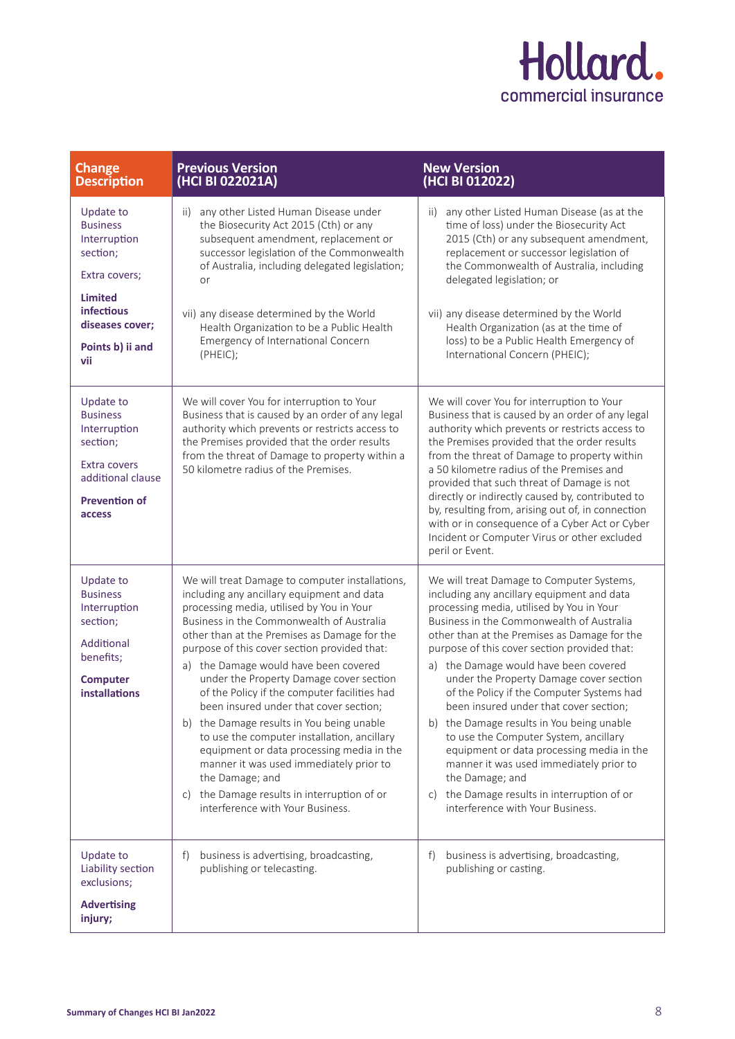

| <b>Change</b><br><b>Description</b>                                                                                                                                   | <b>Previous Version</b><br>(HCI BI 022021A)                                                                                                                                                                                                                                                                                                                                                                                                                                                                                                                                                                                                                                                                                                                     | <b>New Version</b><br>(HCI BI 012022)                                                                                                                                                                                                                                                                                                                                                                                                                                                                                                                                                                                                                                                                                                            |
|-----------------------------------------------------------------------------------------------------------------------------------------------------------------------|-----------------------------------------------------------------------------------------------------------------------------------------------------------------------------------------------------------------------------------------------------------------------------------------------------------------------------------------------------------------------------------------------------------------------------------------------------------------------------------------------------------------------------------------------------------------------------------------------------------------------------------------------------------------------------------------------------------------------------------------------------------------|--------------------------------------------------------------------------------------------------------------------------------------------------------------------------------------------------------------------------------------------------------------------------------------------------------------------------------------------------------------------------------------------------------------------------------------------------------------------------------------------------------------------------------------------------------------------------------------------------------------------------------------------------------------------------------------------------------------------------------------------------|
| <b>Update to</b><br><b>Business</b><br>Interruption<br>section;<br>Extra covers;<br><b>Limited</b><br><b>infectious</b><br>diseases cover;<br>Points b) ii and<br>vii | any other Listed Human Disease under<br>ii)<br>the Biosecurity Act 2015 (Cth) or any<br>subsequent amendment, replacement or<br>successor legislation of the Commonwealth<br>of Australia, including delegated legislation;<br>or<br>vii) any disease determined by the World<br>Health Organization to be a Public Health<br>Emergency of International Concern<br>(PHEIC);                                                                                                                                                                                                                                                                                                                                                                                    | any other Listed Human Disease (as at the<br>ii)<br>time of loss) under the Biosecurity Act<br>2015 (Cth) or any subsequent amendment,<br>replacement or successor legislation of<br>the Commonwealth of Australia, including<br>delegated legislation; or<br>vii) any disease determined by the World<br>Health Organization (as at the time of<br>loss) to be a Public Health Emergency of<br>International Concern (PHEIC);                                                                                                                                                                                                                                                                                                                   |
| Update to<br><b>Business</b><br>Interruption<br>section;<br>Extra covers<br>additional clause<br><b>Prevention of</b><br>access                                       | We will cover You for interruption to Your<br>Business that is caused by an order of any legal<br>authority which prevents or restricts access to<br>the Premises provided that the order results<br>from the threat of Damage to property within a<br>50 kilometre radius of the Premises.                                                                                                                                                                                                                                                                                                                                                                                                                                                                     | We will cover You for interruption to Your<br>Business that is caused by an order of any legal<br>authority which prevents or restricts access to<br>the Premises provided that the order results<br>from the threat of Damage to property within<br>a 50 kilometre radius of the Premises and<br>provided that such threat of Damage is not<br>directly or indirectly caused by, contributed to<br>by, resulting from, arising out of, in connection<br>with or in consequence of a Cyber Act or Cyber<br>Incident or Computer Virus or other excluded<br>peril or Event.                                                                                                                                                                       |
| <b>Update to</b><br><b>Business</b><br>Interruption<br>section;<br>Additional<br>benefits;<br><b>Computer</b><br><b>installations</b>                                 | We will treat Damage to computer installations,<br>including any ancillary equipment and data<br>processing media, utilised by You in Your<br>Business in the Commonwealth of Australia<br>other than at the Premises as Damage for the<br>purpose of this cover section provided that:<br>a) the Damage would have been covered<br>under the Property Damage cover section<br>of the Policy if the computer facilities had<br>been insured under that cover section;<br>b) the Damage results in You being unable<br>to use the computer installation, ancillary<br>equipment or data processing media in the<br>manner it was used immediately prior to<br>the Damage; and<br>c) the Damage results in interruption of or<br>interference with Your Business. | We will treat Damage to Computer Systems,<br>including any ancillary equipment and data<br>processing media, utilised by You in Your<br>Business in the Commonwealth of Australia<br>other than at the Premises as Damage for the<br>purpose of this cover section provided that:<br>a) the Damage would have been covered<br>under the Property Damage cover section<br>of the Policy if the Computer Systems had<br>been insured under that cover section;<br>b) the Damage results in You being unable<br>to use the Computer System, ancillary<br>equipment or data processing media in the<br>manner it was used immediately prior to<br>the Damage; and<br>c) the Damage results in interruption of or<br>interference with Your Business. |
| Update to<br>Liability section<br>exclusions;<br><b>Advertising</b><br>injury;                                                                                        | business is advertising, broadcasting,<br>f)<br>publishing or telecasting.                                                                                                                                                                                                                                                                                                                                                                                                                                                                                                                                                                                                                                                                                      | f)<br>business is advertising, broadcasting,<br>publishing or casting.                                                                                                                                                                                                                                                                                                                                                                                                                                                                                                                                                                                                                                                                           |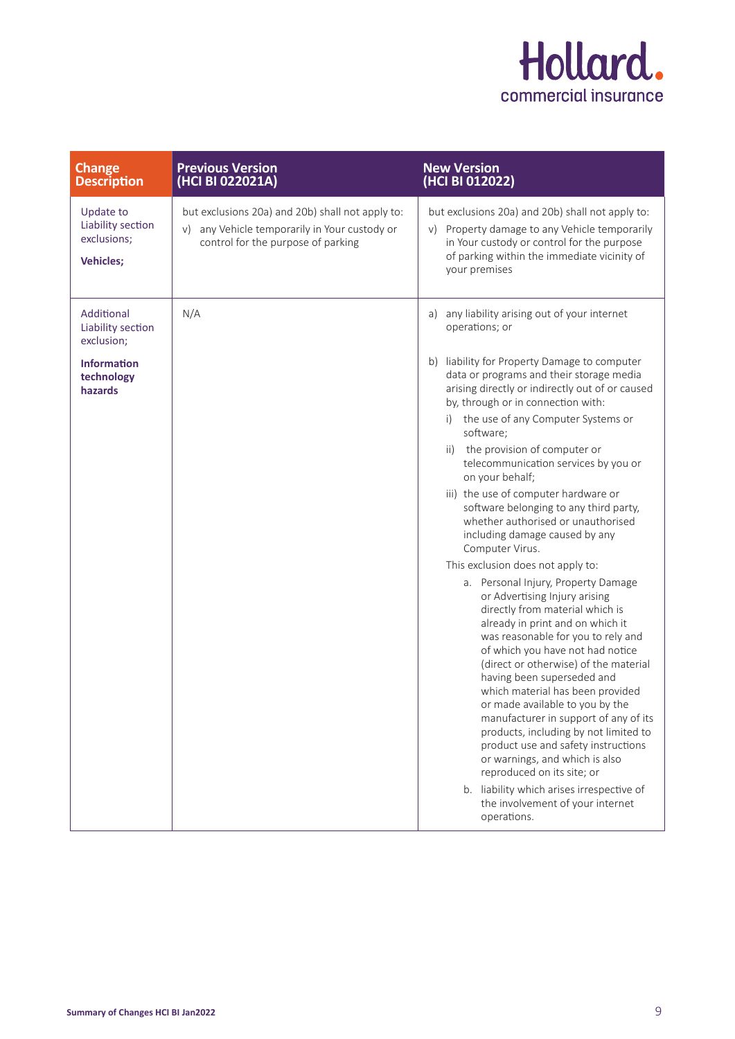

| <b>Change</b><br><b>Description</b>                               | <b>Previous Version</b><br>(HCI BI 022021A)                                                                                                | <b>New Version</b><br>(HCI BI 012022)                                                                                                                                                                                                                                                                                                                                                                                                                                                                                                                                                                                                                        |
|-------------------------------------------------------------------|--------------------------------------------------------------------------------------------------------------------------------------------|--------------------------------------------------------------------------------------------------------------------------------------------------------------------------------------------------------------------------------------------------------------------------------------------------------------------------------------------------------------------------------------------------------------------------------------------------------------------------------------------------------------------------------------------------------------------------------------------------------------------------------------------------------------|
| Update to<br>Liability section<br>exclusions;<br><b>Vehicles;</b> | but exclusions 20a) and 20b) shall not apply to:<br>any Vehicle temporarily in Your custody or<br>V)<br>control for the purpose of parking | but exclusions 20a) and 20b) shall not apply to:<br>Property damage to any Vehicle temporarily<br>V)<br>in Your custody or control for the purpose<br>of parking within the immediate vicinity of<br>your premises                                                                                                                                                                                                                                                                                                                                                                                                                                           |
| Additional<br>Liability section<br>exclusion;                     | N/A                                                                                                                                        | any liability arising out of your internet<br>a)<br>operations; or                                                                                                                                                                                                                                                                                                                                                                                                                                                                                                                                                                                           |
| <b>Information</b><br>technology<br>hazards                       |                                                                                                                                            | b) liability for Property Damage to computer<br>data or programs and their storage media<br>arising directly or indirectly out of or caused<br>by, through or in connection with:                                                                                                                                                                                                                                                                                                                                                                                                                                                                            |
|                                                                   |                                                                                                                                            | i) the use of any Computer Systems or<br>software;                                                                                                                                                                                                                                                                                                                                                                                                                                                                                                                                                                                                           |
|                                                                   |                                                                                                                                            | ii) the provision of computer or<br>telecommunication services by you or<br>on your behalf;                                                                                                                                                                                                                                                                                                                                                                                                                                                                                                                                                                  |
|                                                                   |                                                                                                                                            | iii) the use of computer hardware or<br>software belonging to any third party,<br>whether authorised or unauthorised<br>including damage caused by any<br>Computer Virus.                                                                                                                                                                                                                                                                                                                                                                                                                                                                                    |
|                                                                   |                                                                                                                                            | This exclusion does not apply to:                                                                                                                                                                                                                                                                                                                                                                                                                                                                                                                                                                                                                            |
|                                                                   |                                                                                                                                            | a. Personal Injury, Property Damage<br>or Advertising Injury arising<br>directly from material which is<br>already in print and on which it<br>was reasonable for you to rely and<br>of which you have not had notice<br>(direct or otherwise) of the material<br>having been superseded and<br>which material has been provided<br>or made available to you by the<br>manufacturer in support of any of its<br>products, including by not limited to<br>product use and safety instructions<br>or warnings, and which is also<br>reproduced on its site; or<br>b. liability which arises irrespective of<br>the involvement of your internet<br>operations. |